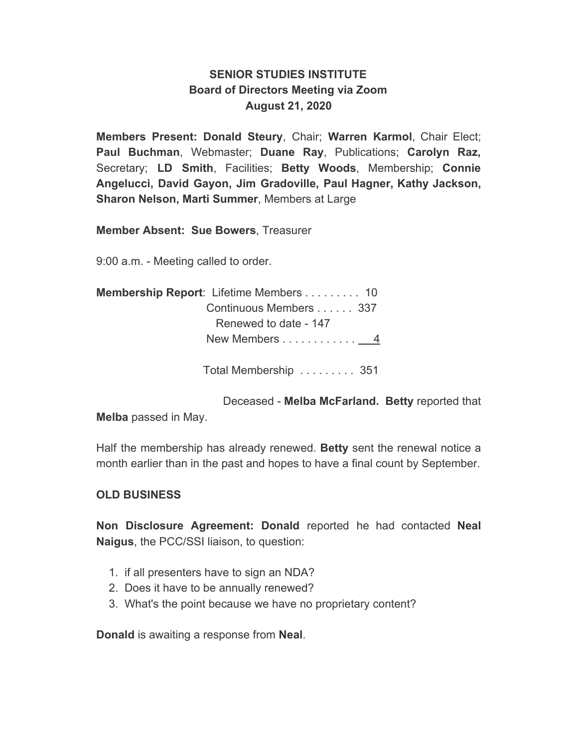## **SENIOR STUDIES INSTITUTE Board of Directors Meeting via Zoom August 21, 2020**

**Members Present: Donald Steury**, Chair; **Warren Karmol**, Chair Elect; **Paul Buchman**, Webmaster; **Duane Ray**, Publications; **Carolyn Raz,** Secretary; **LD Smith**, Facilities; **Betty Woods**, Membership; **Connie Angelucci, David Gayon, Jim Gradoville, Paul Hagner, Kathy Jackson, Sharon Nelson, Marti Summer**, Members at Large

**Member Absent: Sue Bowers**, Treasurer

9:00 a.m. - Meeting called to order.

| <b>Membership Report:</b> Lifetime Members 10 |  |
|-----------------------------------------------|--|
| Continuous Members  337                       |  |
| Renewed to date - 147                         |  |
| New Members 4                                 |  |

Total Membership . . . . . . . . . 351

Deceased - **Melba McFarland. Betty** reported that

**Melba** passed in May.

Half the membership has already renewed. **Betty** sent the renewal notice a month earlier than in the past and hopes to have a final count by September.

## **OLD BUSINESS**

**Non Disclosure Agreement: Donald** reported he had contacted **Neal Naigus**, the PCC/SSI liaison, to question:

- 1. if all presenters have to sign an NDA?
- 2. Does it have to be annually renewed?
- 3. What's the point because we have no proprietary content?

**Donald** is awaiting a response from **Neal**.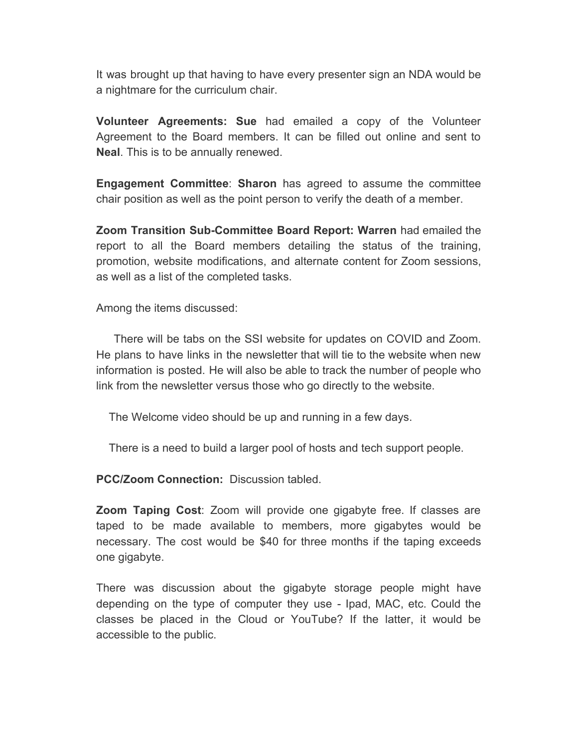It was brought up that having to have every presenter sign an NDA would be a nightmare for the curriculum chair.

**Volunteer Agreements: Sue** had emailed a copy of the Volunteer Agreement to the Board members. It can be filled out online and sent to **Neal**. This is to be annually renewed.

**Engagement Committee**: **Sharon** has agreed to assume the committee chair position as well as the point person to verify the death of a member.

**Zoom Transition Sub-Committee Board Report: Warren** had emailed the report to all the Board members detailing the status of the training, promotion, website modifications, and alternate content for Zoom sessions, as well as a list of the completed tasks.

Among the items discussed:

There will be tabs on the SSI website for updates on COVID and Zoom. He plans to have links in the newsletter that will tie to the website when new information is posted. He will also be able to track the number of people who link from the newsletter versus those who go directly to the website.

The Welcome video should be up and running in a few days.

There is a need to build a larger pool of hosts and tech support people.

**PCC/Zoom Connection:** Discussion tabled.

**Zoom Taping Cost**: Zoom will provide one gigabyte free. If classes are taped to be made available to members, more gigabytes would be necessary. The cost would be \$40 for three months if the taping exceeds one gigabyte.

There was discussion about the gigabyte storage people might have depending on the type of computer they use - Ipad, MAC, etc. Could the classes be placed in the Cloud or YouTube? If the latter, it would be accessible to the public.